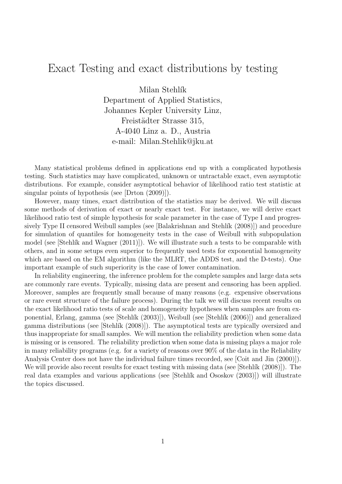## Exact Testing and exact distributions by testing

Milan Stehlík Department of Applied Statistics, Johannes Kepler University Linz, Freistädter Strasse 315, A-4040 Linz a. D., Austria e-mail: Milan.Stehlik@jku.at

Many statistical problems defined in applications end up with a complicated hypothesis testing. Such statistics may have complicated, unknown or untractable exact, even asymptotic distributions. For example, consider asymptotical behavior of likelihood ratio test statistic at singular points of hypothesis (see [Drton (2009)]).

However, many times, exact distribution of the statistics may be derived. We will discuss some methods of derivation of exact or nearly exact test. For instance, we will derive exact likelihood ratio test of simple hypothesis for scale parameter in the case of Type I and progressively Type II censored Weibull samples (see [Balakrishnan and Stehlík (2008)]) and procedure for simulation of quantiles for homogeneity tests in the case of Weibull with subpopulation model (see [Stehlík and Wagner  $(2011)$ ]). We will illustrate such a tests to be comparable with others, and in some setups even superior to frequently used tests for exponential homogeneity which are based on the EM algorithm (like the MLRT, the ADDS test, and the D-tests). One important example of such superiority is the case of lower contamination.

In reliability engineering, the inference problem for the complete samples and large data sets are commonly rare events. Typically, missing data are present and censoring has been applied. Moreover, samples are frequently small because of many reasons (e.g. expensive observations or rare event structure of the failure process). During the talk we will discuss recent results on the exact likelihood ratio tests of scale and homogeneity hypotheses when samples are from exponential, Erlang, gamma (see [Stehl´ık (2003)]), Weibull (see [Stehl´ık (2006)]) and generalized gamma distributions (see [Stehlík (2008)]). The asymptotical tests are typically oversized and thus inappropriate for small samples. We will mention the reliability prediction when some data is missing or is censored. The reliability prediction when some data is missing plays a major role in many reliability programs (e.g. for a variety of reasons over 90% of the data in the Reliability Analysis Center does not have the individual failure times recorded, see [Coit and Jin (2000)]). We will provide also recent results for exact testing with missing data (see [Stehlík (2008)]). The real data examples and various applications (see [Stehlík and Ososkov (2003)]) will illustrate the topics discussed.